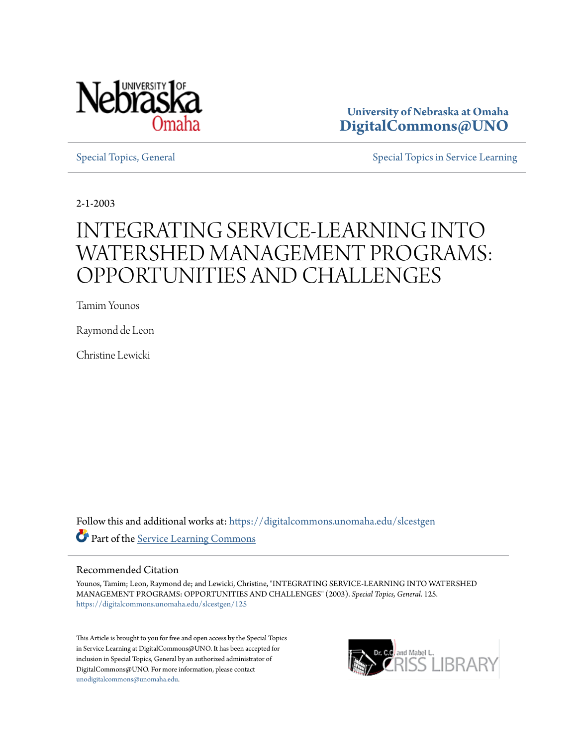

**University of Nebraska at Omaha [DigitalCommons@UNO](https://digitalcommons.unomaha.edu?utm_source=digitalcommons.unomaha.edu%2Fslcestgen%2F125&utm_medium=PDF&utm_campaign=PDFCoverPages)**

[Special Topics, General](https://digitalcommons.unomaha.edu/slcestgen?utm_source=digitalcommons.unomaha.edu%2Fslcestgen%2F125&utm_medium=PDF&utm_campaign=PDFCoverPages) [Special Topics in Service Learning](https://digitalcommons.unomaha.edu/slcespecialtopics?utm_source=digitalcommons.unomaha.edu%2Fslcestgen%2F125&utm_medium=PDF&utm_campaign=PDFCoverPages)

2-1-2003

# INTEGRATING SERVICE-LEARNING INTO WATERSHED MANAGEMENT PROGRAMS: OPPORTUNITIES AND CHALLENGES

Tamim Younos

Raymond de Leon

Christine Lewicki

Follow this and additional works at: [https://digitalcommons.unomaha.edu/slcestgen](https://digitalcommons.unomaha.edu/slcestgen?utm_source=digitalcommons.unomaha.edu%2Fslcestgen%2F125&utm_medium=PDF&utm_campaign=PDFCoverPages) Part of the [Service Learning Commons](http://network.bepress.com/hgg/discipline/1024?utm_source=digitalcommons.unomaha.edu%2Fslcestgen%2F125&utm_medium=PDF&utm_campaign=PDFCoverPages)

#### Recommended Citation

Younos, Tamim; Leon, Raymond de; and Lewicki, Christine, "INTEGRATING SERVICE-LEARNING INTO WATERSHED MANAGEMENT PROGRAMS: OPPORTUNITIES AND CHALLENGES" (2003). *Special Topics, General*. 125. [https://digitalcommons.unomaha.edu/slcestgen/125](https://digitalcommons.unomaha.edu/slcestgen/125?utm_source=digitalcommons.unomaha.edu%2Fslcestgen%2F125&utm_medium=PDF&utm_campaign=PDFCoverPages)

This Article is brought to you for free and open access by the Special Topics in Service Learning at DigitalCommons@UNO. It has been accepted for inclusion in Special Topics, General by an authorized administrator of DigitalCommons@UNO. For more information, please contact [unodigitalcommons@unomaha.edu](mailto:unodigitalcommons@unomaha.edu).

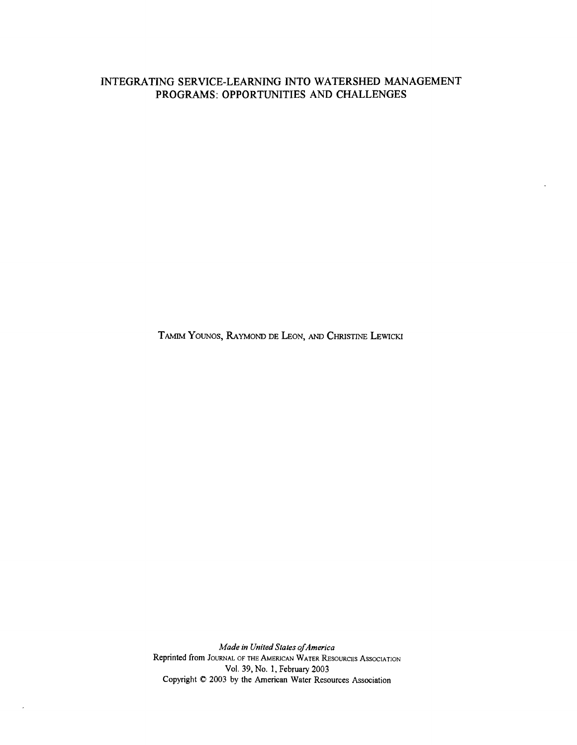# **INTEGRATING SERVICE-LEARNING INTO WATERSHED MANAGEMENT PROGRAMS: OPPORTUNITIES AND CHALLENGES**

TAMIM YOUNOS, RAYMOND DE LEON, AND CHRISTINE LEWICKI

*Made in United States ofAmerica*  Reprinted from JOURNAL OF THE AMERICAN WATER RESOURCES ASSOCIATION Vol. 39, No.1, February 2003 Copyright  $O$  2003 by the American Water Resources Association

 $\overline{\phantom{a}}$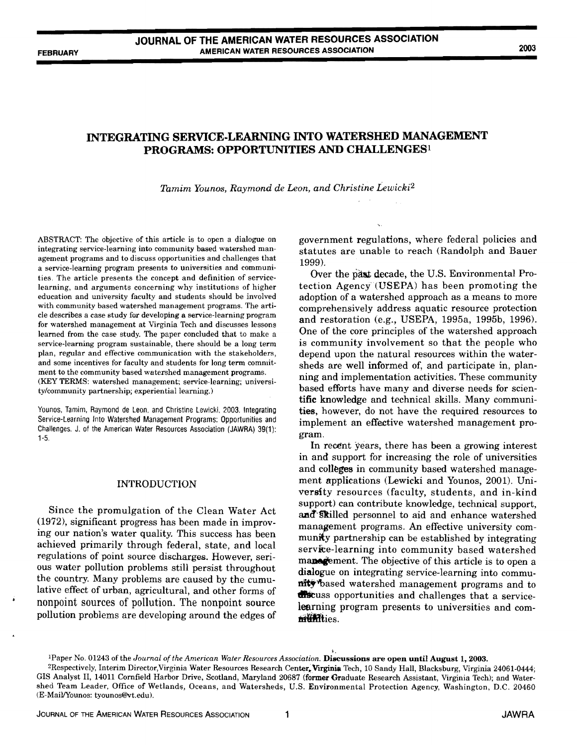## INTEGRATING SERVICE·LEARNING INTO WATERSHED MANAGEMENT PROGRAMS: OPPORTUNITIES AND CHALLENGES<sup>1</sup>

*Tamim Younos, Raymond de Leon, and Christine Lewicki2* 

ABSTRACT: The objective of this article is to open a dialogue on government regulations, where federal policies and integrating service-learning into community based watershed man-<br>statutes are unable to reach (Randolph an integrating service-learning into community based watershed man-<br>agement programs and to discuss opportunities and challenges that<br> $1000$ agement programs and to discuss opportunities and challenges that<br>a service-learning program presents to universities and communi-<br>ties. The article presents the concept and definition of service- Over the past decade, the learning, and arguments concerning why institutions of higher tection Agency (USEPA) has been promoting the education and university faculty and students should be involved adoption of a watershed approach as a means to more with community based watershed management programs. The arti with community based watershed management programs. The arti-<br>cle describes a case study for developing a service-learning program<br>for watershed management at Virginia Tech and discusses lessons and restoration (e.g., USEP learned from the case study. The paper concluded that to make a One of the core principles of the watershed approach service-learning program sustainable, there should be a long term is community involvement so that the people who<br>plan, regular and effective communication with the stakeholders, depend upon the natural resources within th plan, regular and effective communication with the stakeholders, depend upon the natural resources within the waterand some incentives for faculty and students for long term commit and some incentives for faculty and students for long term commut-<br>ment to the community based watershed management programs.<br>(KEY TERMS: watershed management; service-learning; universi-<br>ining and implementation activitie ty/community partnership; experiential learning.) based efforts have many and diverse needs for scien-

Service-Learning into watershed Management Programs: Opportunities and implement an effective watershed management pro-<br>Challenges. J. of the American Water Resources Association (JAWRA) 39(1): gram.<br>1-5.

regulations of point source discharges. However, serial management. The objective of this article is to open a<br>ous water pollution problems still persist throughout<br>the country. Many problems are caused by the cumu-<br>lative pollution problems are developing around the edges of  $M$ 

tific knowledge and technical skills. Many communi-Younos, Tamim, Raymond de Leon, and Christine Lewicki, 2003. Integrating ties, however, do not have the required resources to Service-Learning Into Watershed Management Programs: Opportunities and implement an effective we

In recent years, there has been a growing interest in and support for increasing the role of universities and colleges in community based watershed management applications (Lewicki and Younos, 2001). University resources (faculty, students, and in-kind Since the promulgation of the Clean Water Act (1972), significant progress has been made in improving our nation's water quality. This success has been<br>achieved primarily through federal, state, and local regulations of po

<sup>&#</sup>x27;. lPaper No. 01243 ofthe *Journal ofthe American Water Resources Association.* Discussions are open until August 1,2003.

<sup>&</sup>lt;sup>2</sup>Respectively, Interim Director, Virginia Water Resources Research Center, Virginia Tech, 10 Sandy Hall, Blacksburg, Virginia 24061-0444; GIS Analyst II, 14011 Cornfield Harbor Drive, Scotland, Maryland 20687 (former Graduate Research Assistant, Virginia Tech); and Watershed Team Leader, Office of Wetlands, Oceans, and Watersheds, U.S. Environmental Protection Agency, Washington, D.C. 20460 (E-MaillYounos: tyounos@Vt.edu).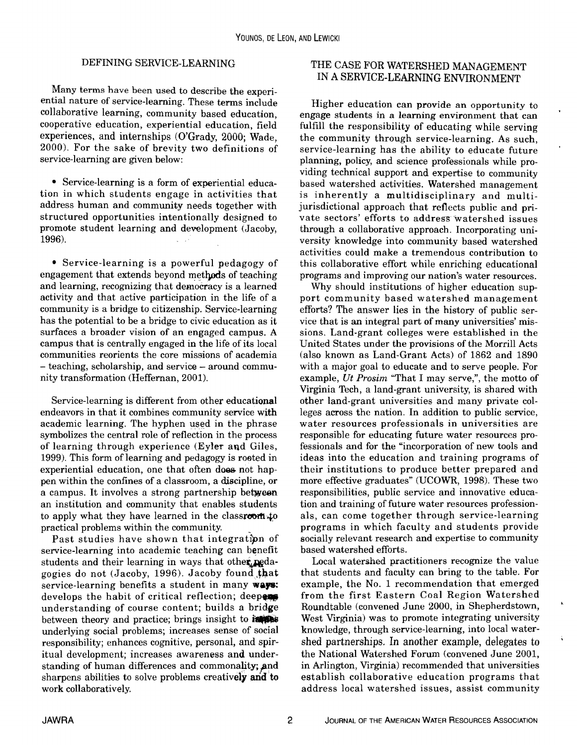### DEFINING SERVICE-LEARNING

Many terms have been used to describe the experiential nature of service-learning. These terms include collaborative learning, community based education, cooperative education, experiential education, field experiences, and internships (O'Grady, 2000; Wade, 2000). For the sake of brevity two definitions of service-learning are given below:

• Service-learning is a form of experiential education in which students engage in activities that address human and community needs together with structured opportunities intentionally designed to promote student learning and development (Jacoby, 1996).

• Service-learning is a powerful pedagogy of engagement that extends beyond methods of teaching and learning, recognizing that democracy is a learned activity and that active participation in the life of a community is a bridge to citizenship. Service-learning has the potential to be a bridge to civic education as it surfaces a broader vision of an engaged campus. A campus that is centrally engaged in the life of its local communities reorients the core missions of academia - teaching, scholarship, and service - around community transformation (Heffernan, 2001).

Service-learning is different from other educational endeavors in that it combines community service wtth academic learning. The hyphen used in the phrase symbolizes the central role of reflection in the process of learning through experience (Eyler and Giles, 1999). This form of learning and pedagogy is rooted in experiential education, one that often does not happen within the confines of a classroom, a discipline, or a campus. It involves a strong partnership between an institution and community that enables students to apply what they have learned in the classroom to practical problems within the community. \_

Past studies have shown that integratipn of service-learning into academic teaching can benefit students and their learning in ways that other nedagogies do not (Jacoby, 1996). Jacoby found that service-learning benefits a student in many ways: develops the habit of critical reflection; deepers understanding of course content; builds a bridge between theory and practice; brings insight to  $\frac{1}{2}$ underlying social problems; increases sense of social responsibility; enhances cognitive, personal, and spiritual development; increases awareness and understanding of human differences and commonality; and sharpens abilities to solve problems creatively and to work collaboratively.

# THE CASE FOR WATERSHED MANAGEMENT IN A SERVICE-LEARNING ENVIRONMENT

Higher education can provide an opportunity to engage students in a learning environment that can fulfill the responsibility of educating while serving the community through service-learning. As such, service-learning has the ability to educate future planning, policy, and science professionals while providing technical support and expertise to community based watershed activities. Watershed management is inherently a multidisciplinary and multijurisdictional approach that reflects public and private sectors' efforts to address watershed issues through a collaborative approach. Incorporating university knowledge into community based watershed activities could make a tremendous contribution to this collaborative effort while enriching educational programs and improving our nation's water resources.

Why should institutions of higher education support community based watershed management efforts? The answer lies in the history of public service that is an integral part of many universities' missions. Land-grant colleges were established in the United States under the provisions of the Morrill Acts (also known as Land-Grant Acts) of 1862 and 1890 with a major goal to educate and to serve people. For example, *Ut Prosim* "That I may serve,", the motto of Virginia Tech, a land-grant university, is shared with other land-grant universities and many private colleges across the nation. In addition to public service, water resources professionals in universities are responsible for educating future water resources professionals and for the "incorporation of new tools and ideas into the education and training programs of their institutions to produce better prepared and more effective graduates" (UCOWR, 1998). These two responsibilities, public service and innovative education and training of future water resources professionals, can come together through service-learning programs in which faculty and students provide socially relevant research and expertise to community based watershed efforts.

Local watershed practitioners recognize the value that students and faculty can bring to the table. For example, the No.1 recommendation that emerged from the first Eastern Coal Region Watershed Roundtable (convened June 2000, in Shepherdstown, West Virginia) was to promote integrating university knowledge, through service-learning, into local watershed partnerships. In another example, delegates to the National Watershed Forum (convened June 2001, in Arlington, Virginia) recommended that universities establish collaborative education programs that address local watershed issues, assist community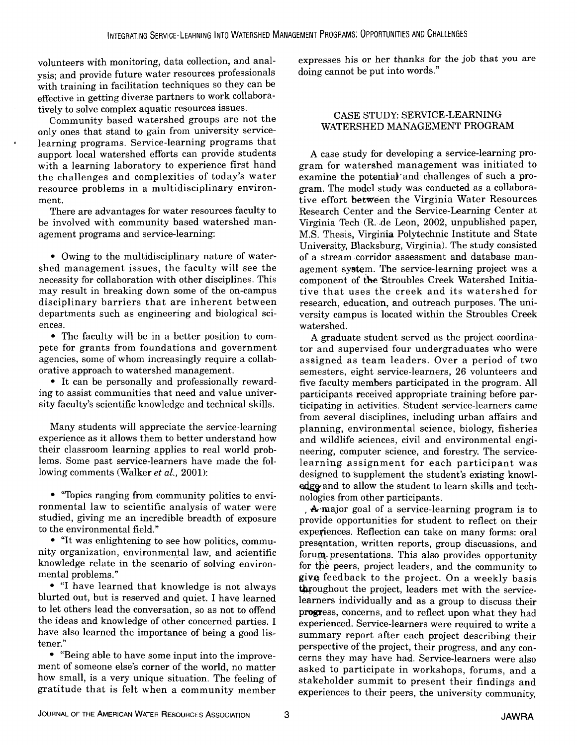volunteers with monitoring, data collection, and analysis; and provide future water resources professionals with training in facilitation techniques so they can be effective in getting diverse partners to work collaboratively to solve complex aquatic resources issues.

Community based watershed groups are not the only ones that stand to gain from university servicelearning programs. Service-learning programs that support local watershed efforts can provide students with a learning laboratory to experience first hand the challenges and complexities of today's water resource problems in a multidisciplinary environment.

There are advantages for water resources faculty to be involved with community based watershed management programs and service-learning:

• Owing to the multidisciplinary nature of watershed management issues, the faculty will see the necessity for collaboration with other disciplines. This may result in breaking down some of the on-campus disciplinary barriers that are inherent between departments such as engineering and biological sciences.

• The faculty will be in a better position to compete for grants from foundations and government agencies, some of whom increasingly require a collaborative approach to watershed management.

• It can be personally and professionally rewarding to assist communities that need and value university faculty's scientific knowledge and technical skills.

Many students will appreciate the service-learning experience as it allows them to better understand how their classroom learning applies to real world problems. Some past service-learners have made the following comments (Walker *et al., 2001):* 

• "Topics ranging from community politics to environmental law to scientific analysis of water were studied, giving me an incredible breadth of exposure to the environmental field."

• "It was enlightening to see how politics, community organization, environmental law, and scientific knowledge relate in the scenario of solving environmental problems."

• "I have learned that knowledge is not always blurted out, but is reserved and quiet. I have learned to let others lead the conversation, so as not to offend the ideas and knowledge of other concerned parties. I have also learned the importance of being a good listener."

• "Being able to have some input into the improvement of someone else's corner of the world, no matter how small, is a very unique situation. The feeling of gratitude that is felt when a community member

expresses his or her thanks for the job that you are doing cannot be put into words."

#### CASE STUDY: SERVICE-LEARNING WATERSHED MANAGEMENT PROGRAM

A case study for developing a service-learning program for watershed management was initiated to examine the potential'and- challenges of such a program. The model study was conducted as a collaborative effort between the Virginia Water Resources Research Center and the Service-Learning Center at Virginia Tech (R. -de Leon, 2002, unpublished paper, M.S. Thesis, Virginia Polytechnic Institute and State University, Blacksburg, Virginia). The study consisted of a stream corridor assessment and database management system. The service-learning project was a component of the'Stroubles Creek Watershed Initiative that uses the creek and its watershed for research, education, and outreach purposes. The university campus is located within the Stroubles Creek watershed.

A graduate student served as the project coordinator and supervised four undergraduates who were assigned as team leaders. Over a period of two semesters, eight service-learners, 26 volunteers and five faculty members participated in the program. All participants received appropriate training before participating in activities. Student service-learners came from several disciplines, including urban affairs and planning, environmental science, biology, fisheries and wildlife sciences, civil and environmental engineering, computer science, and forestry. The servicelearning assignment for each participant was designed to supplement the student's existing knowledge and to allow the student to learn skills and technologies from other participants.

, A-major goal of a service-learning program is to provide opportunities for student to reflect on their experiences. Reflection can take on many forms: oral presentation, written reports, group discussions, and forum presentations. This also provides opportunity for the peers, project leaders, and the community to give feedback to the project. On a weekly basis throughout the project, leaders met with the servicelearners individually and as a group to discuss their progress, concerns, and to reflect upon what they had experienced. Service-learners were required to write a summary report after each project describing their perspective of the project, their progress, and any concerns they may have had. Service-learners were also asked to participate in workshops, forums, and a stakeholder summit to present their findings and experiences to their peers, the university community,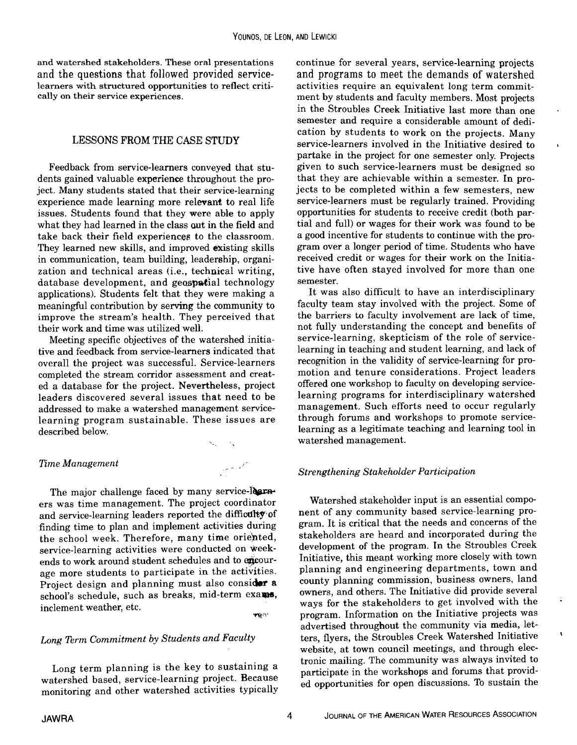and watershed stakeholders. These oral presentations and the questions that followed provided servicelearners with structured opportunities to reflect critically on their service experiences.

#### LESSONS FROM THE CASE STUDY

Feedback from service-learners conveyed that students gained valuable experience throughout the project. Many students stated that their service-learning experience made learning more relevant to real life issues. Students found that they were able to apply what they had learned in the class out in the field and take back their field experiences to the classroom. They learned new skills, and improved existing skills in communication, team building, leadership, organization and technical areas (i.e., technical writing, database development, and geospatial technology applications). Students felt that they were making a meaningful contribution by serving the community to improve the stream's health. They perceived that their work and time was utilized well.

Meeting specific objectives of the watershed initiative and feedback from service-learners indicated that overall the project was successful. Service-learners completed the stream corridor assessment and created a database for the project. Nevertheless, project leaders discovered several issues that need to be addressed to make a watershed management servicelearning program sustainable. These issues are described below.

#### *Time Management*

The major challenge faced by many service-learners was time management. The project coordinator and service-learning leaders reported the difficulty of finding time to plan and implement activities during the school week. Therefore, many time oriented, service-learning activities were conducted on weekends to work around student schedules and to encourage more students to participate in the activities. Project design and planning must also consider a school's schedule, such as breaks, mid-term exams, inclement weather, etc.

**TV** W

# *Long Term Commitment by Students and Faculty*

Long term planning is the key to sustaining a watershed based, service-learning project. Because monitoring and other watershed activities typically continue for several years, service-learning projects and programs to meet the demands of watershed activities require an equivalent long term commit ment by students and faculty members. Most projects in the Stroubles Creek Initiative last more than one semester and require a considerable amount of dedication by students to work on the projects. Many service-learners involved in the Initiative desired to partake in the project for one semester only. Projects given to such service-learners must be designed so that they are achievable within a semester. In projects to be completed within a few semesters, new service-learners must be regularly trained. Providing opportunities for students to receive credit (both partial and full) or wages for their work was found to be a good incentive for students to continue with the program over a longer period of time. Students who have received credit or wages for their work on the Initiative have often stayed involved for more than one semester.

It was also difficult to have an interdisciplinary faculty team stay involved with the project. Some of the barriers to faculty involvement are lack of time, not fully understanding the concept and benefits of service-learning, skepticism of the role of servicelearning in teaching and student learning, and lack of recognition in the validity of service-learning for promotion and tenure considerations. Project leaders offered one workshop to faculty on developing servicelearning programs for interdisciplinary watershed management. Such efforts need to occur regularly through forums and workshops to promote servicelearning as a legitimate teaching and learning tool in watershed management.

#### *Strengthening Stakeholder Participation*

Watershed stakeholder input is an essential component of any community based service-learning program. It is critical that the needs and concerns of the stakeholders are heard and incorporated during the development of the program. In the Stroubles Creek Initiative, this meant working more closely with town planning and engineering departments, town and county planning commission, business owners, land owners, and others. The Initiative did provide several ways for the stakeholders to get involved with the program. Information on the Initiative projects was advertised throughout the community via media, letters, flyers, the Stroubles Creek Watershed Initiative website, at town council meetings, and through electronic mailing. The community was always invited to participate in the workshops and forums that provided opportunities for open discussions. To sustain the